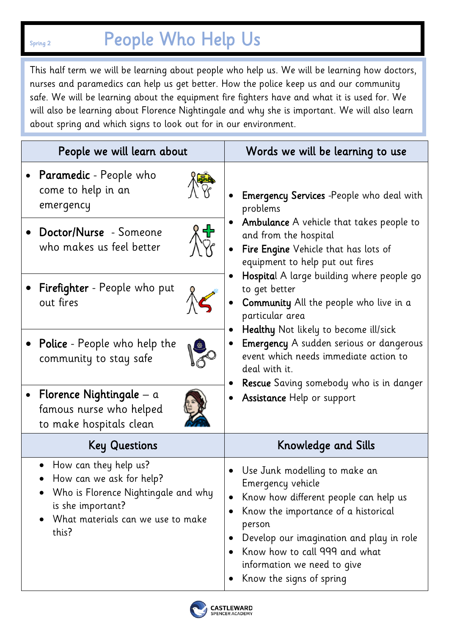## Spring 2 **People Who Help Us**

This half term we will be learning about people who help us. We will be learning how doctors, nurses and paramedics can help us get better. How the police keep us and our community safe. We will be learning about the equipment fire fighters have and what it is used for. We will also be learning about Florence Nightingale and why she is important. We will also learn about spring and which signs to look out for in our environment.

| People we will learn about                                                                                                                                  | Words we will be learning to use                                                                                                                                                                                                                                                                                                                                                                                                                                                                                                                                                                       |
|-------------------------------------------------------------------------------------------------------------------------------------------------------------|--------------------------------------------------------------------------------------------------------------------------------------------------------------------------------------------------------------------------------------------------------------------------------------------------------------------------------------------------------------------------------------------------------------------------------------------------------------------------------------------------------------------------------------------------------------------------------------------------------|
| <b>Paramedic</b> - People who<br>come to help in an<br>emergency                                                                                            | <b>Emergency Services</b> -People who deal with<br>problems<br>Ambulance A vehicle that takes people to<br>and from the hospital<br>Fire Engine Vehicle that has lots of<br>$\bullet$<br>equipment to help put out fires<br>Hospital A large building where people go<br>to get better<br><b>Community</b> All the people who live in a<br>particular area<br>Healthy Not likely to become ill/sick<br><b>Emergency</b> A sudden serious or dangerous<br>event which needs immediate action to<br>deal with it.<br><b>Rescue</b> Saving somebody who is in danger<br><b>Assistance Help or support</b> |
| • Doctor/Nurse - Someone<br>位<br>who makes us feel better                                                                                                   |                                                                                                                                                                                                                                                                                                                                                                                                                                                                                                                                                                                                        |
| <b>Firefighter</b> - People who put<br>out fires                                                                                                            |                                                                                                                                                                                                                                                                                                                                                                                                                                                                                                                                                                                                        |
| <b>Police</b> - People who help the<br>community to stay safe                                                                                               |                                                                                                                                                                                                                                                                                                                                                                                                                                                                                                                                                                                                        |
| Florence Nightingale – $a$<br>$\bullet$<br>famous nurse who helped<br>to make hospitals clean                                                               |                                                                                                                                                                                                                                                                                                                                                                                                                                                                                                                                                                                                        |
| <b>Key Questions</b>                                                                                                                                        | Knowledge and Sills                                                                                                                                                                                                                                                                                                                                                                                                                                                                                                                                                                                    |
| How can they help us?<br>How can we ask for help?<br>Who is Florence Nightingale and why<br>is she important?<br>What materials can we use to make<br>this? | Use Junk modelling to make an<br>Emergency vehicle<br>Know how different people can help us<br>$\bullet$<br>Know the importance of a historical<br>$\bullet$<br>person<br>Develop our imagination and play in role<br>$\bullet$<br>Know how to call 999 and what<br>information we need to give<br>Know the signs of spring                                                                                                                                                                                                                                                                            |